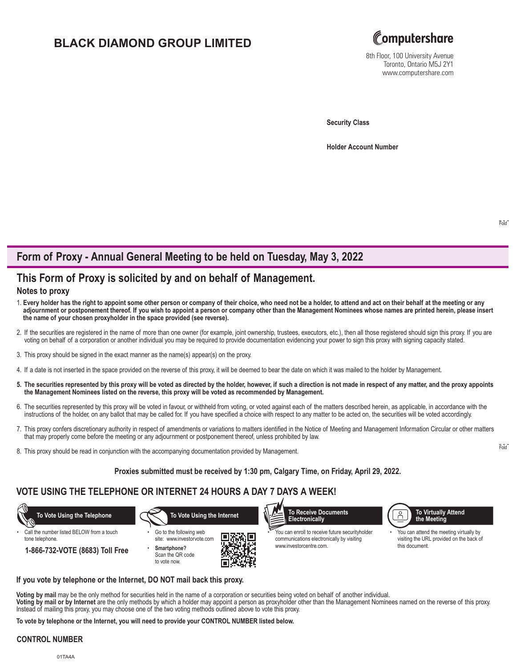# **BLACK DIAMOND GROUP LIMITED**



8th Floor, 100 University Avenue Toronto, Ontario M5J 2Y1 www.computershare.com

**Security Class**

**Holder Account Number** 

# **Form of Proxy - Annual General Meeting to be held on Tuesday, May 3, 2022**

# **This Form of Proxy is solicited by and on behalf of Management.**

## **Notes to proxy**

- 1. **Every holder has the right to appoint some other person or company of their choice, who need not be a holder, to attend and act on their behalf at the meeting or any adjournment or postponement thereof. If you wish to appoint a person or company other than the Management Nominees whose names are printed herein, please insert the name of your chosen proxyholder in the space provided (see reverse).**
- 2. If the securities are registered in the name of more than one owner (for example, joint ownership, trustees, executors, etc.), then all those registered should sign this proxy. If you are voting on behalf of a corporation or another individual you may be required to provide documentation evidencing your power to sign this proxy with signing capacity stated.
- 3. This proxy should be signed in the exact manner as the name(s) appear(s) on the proxy.
- 4. If a date is not inserted in the space provided on the reverse of this proxy, it will be deemed to bear the date on which it was mailed to the holder by Management.
- **5. The securities represented by this proxy will be voted as directed by the holder, however, if such a direction is not made in respect of any matter, and the proxy appoints the Management Nominees listed on the reverse, this proxy will be voted as recommended by Management.**
- 6. The securities represented by this proxy will be voted in favour, or withheld from voting, or voted against each of the matters described herein, as applicable, in accordance with the instructions of the holder, on any ballot that may be called for. If you have specified a choice with respect to any matter to be acted on, the securities will be voted accordingly.
- 7. This proxy confers discretionary authority in respect of amendments or variations to matters identified in the Notice of Meeting and Management Information Circular or other matters that may properly come before the meeting or any adjournment or postponement thereof, unless prohibited by law.
- 8. This proxy should be read in conjunction with the accompanying documentation provided by Management.

### **Proxies submitted must be received by 1:30 pm, Calgary Time, on Friday, April 29, 2022.**

## **VOTE USING THE TELEPHONE OR INTERNET 24 HOURS A DAY 7 DAYS A WEEK!**



#### **If you vote by telephone or the Internet, DO NOT mail back this proxy.**

**Voting by mail** may be the only method for securities held in the name of a corporation or securities being voted on behalf of another individual. **Voting by mail or by Internet** are the only methods by which a holder may appoint a person as proxyholder other than the Management Nominees named on the reverse of this proxy. Instead of mailing this proxy, you may choose one of the two voting methods outlined above to vote this proxy.

**To vote by telephone or the Internet, you will need to provide your CONTROL NUMBER listed below.**

### **CONTROL NUMBER**